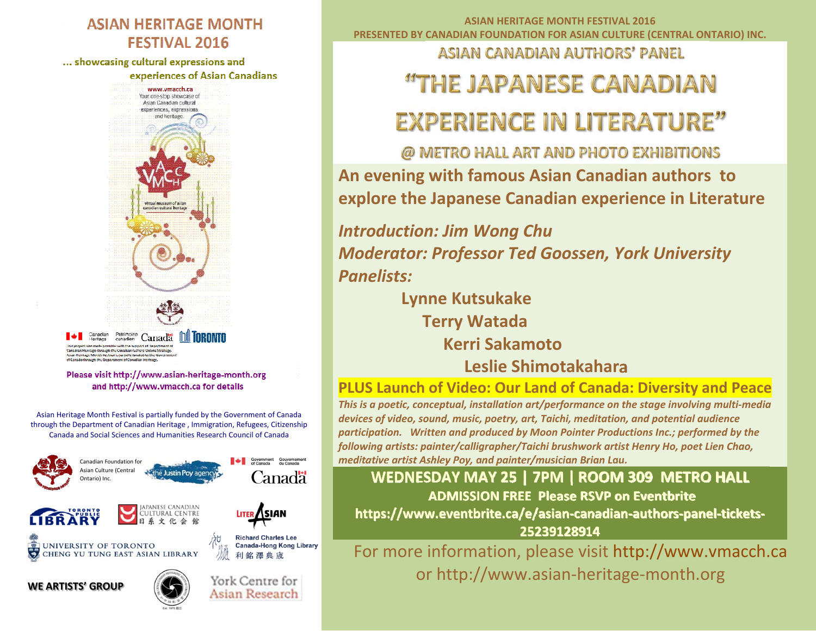#### **ASIAN HERITAGE MONTH FESTIVAL 2016**

... showcasing cultural expressions and

experiences of Asian Canadians



.<br>his project was made possible with the support of Department of possible with the support to be pertinent i<br>pugh the Canadian Culture Online Strategy ternage infough the Canadian Cunture Omme Strat<br>tage Month Festival is partially familial by the Gover igh the Benartment of Canadian Heritage

Please visit http://www.asian-heritage-month.org and http://www.ymacch.ca for details

Asian Heritage Month Festival is partially funded by the Government of Canada through the Department of Canadian Heritage , Immigration, Refugees, Citizenship Canada and Social Sciences and Humanities Research Council of Canada



**ASIAN HERITAGE MONTH FESTIVAL 2016 PRESENTED BY CANADIAN FOUNDATION FOR ASIAN CULTURE (CENTRAL ONTARIO) INC.**

**ASIAN CANADIAN AUTHORS' PANEL** 

# "THE JAPANESE CANADIAN

# **EXPERIENCE IN LITERATURE"**

@ METRO HALL ART AND PHOTO EXHIBITIONS **An evening with famous Asian Canadian authors to explore the Japanese Canadian experience in Literature**

*Introduction: Jim Wong Chu Moderator: Professor Ted Goossen, York University Panelists:*

> **Lynne Kutsukake Terry Watada Kerri SakamotoLeslie Shimotakahara**

#### **PLUS Launch of Video: Our Land of Canada: Diversity and Peace**

*This is a poetic, conceptual, installation art/performance on the stage involving multi‐media devices of video, sound, music, poetry, art, Taichi, meditation, and potential audience participation. Written and produced by Moon Pointer Productions Inc.; performed by the following artists: painter/calligrapher/Taichi brushwork artist Henry Ho, poet Lien Chao, meditative artist Ashley Poy, and painter/musician Brian Lau.*

**WEDNESDAY MAY 25 | 7PM | ROOM 309 METRO HALL ADMISSION FREE Please RSVP on Eventbrite https://www.eventbrite.ca/e/asian‐canadian‐authors‐panel‐tickets‐ 25239128914**

For more information, please visit http://www.vmacch.ca or http://www.asian‐heritage‐month.org